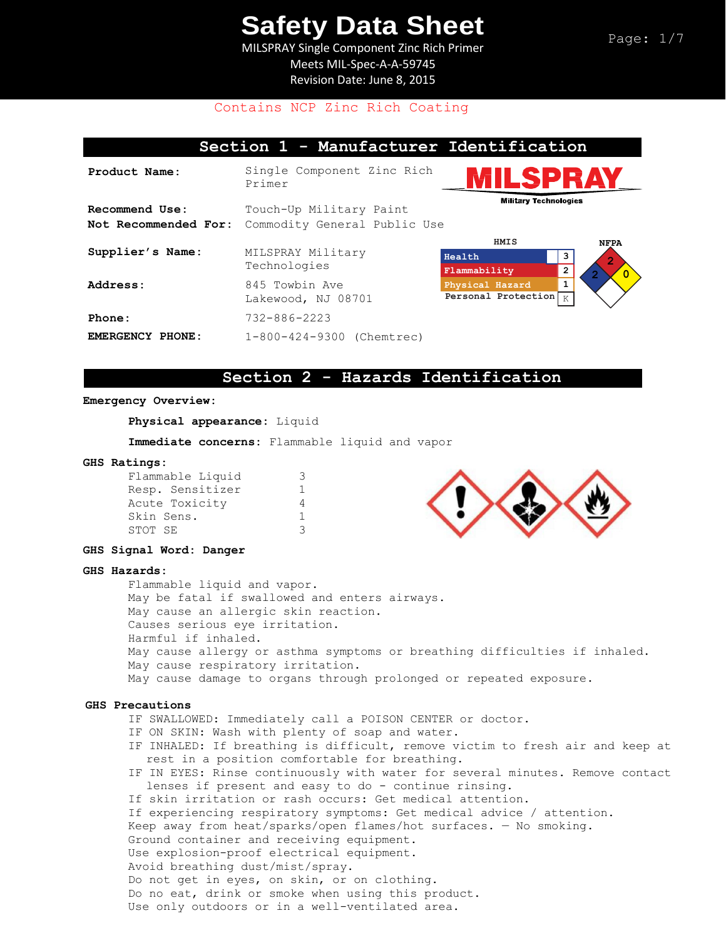MILSPRAY Single Component Zinc Rich Primer Meets MIL-Spec-A-A-59745 Revision Date: June 8, 2015

## Contains NCP Zinc Rich Coating

# **Section 1 - Manufacturer Identification Product Name:** Single Component Zinc Rich

Primer **Recommend Use:** Not Recommended For: Commodity General Public Use Touch-Up Military Paint **Supplier's Name:** MILSPRAY Military Technologies

Address: 845 Towbin Ave Lakewood, NJ 08701 **Phone:** 732-886-2223 **EMERGENCY PHONE:** 1-800-424-9300 (Chemtrec)



**Military Technologies** 

## **Section 2 - Hazards Identification**

#### **Emergency Overview:**

**Physical appearance:** Liquid

**Immediate concerns:** Flammable liquid and vapor

#### **GHS Ratings:**

| Flammable Liquid | З  |
|------------------|----|
| Resp. Sensitizer | ı. |
| Acute Toxicity   | 4  |
| Skin Sens.       | 1. |
| STOT SE          | З  |
|                  |    |



#### **GHS Signal Word: Danger**

### **GHS Hazards:**

Flammable liquid and vapor. May be fatal if swallowed and enters airways. May cause an allergic skin reaction. Causes serious eye irritation. Harmful if inhaled. May cause allergy or asthma symptoms or breathing difficulties if inhaled. May cause respiratory irritation. May cause damage to organs through prolonged or repeated exposure.

### **GHS Precautions**

IF SWALLOWED: Immediately call a POISON CENTER or doctor.

- IF ON SKIN: Wash with plenty of soap and water.
- IF INHALED: If breathing is difficult, remove victim to fresh air and keep at rest in a position comfortable for breathing.
- IF IN EYES: Rinse continuously with water for several minutes. Remove contact lenses if present and easy to do - continue rinsing.
- If skin irritation or rash occurs: Get medical attention.
- If experiencing respiratory symptoms: Get medical advice / attention.

Keep away from heat/sparks/open flames/hot surfaces. — No smoking.

Ground container and receiving equipment.

- Use explosion-proof electrical equipment.
- Avoid breathing dust/mist/spray.

Do not get in eyes, on skin, or on clothing.

Do no eat, drink or smoke when using this product.

Use only outdoors or in a well-ventilated area.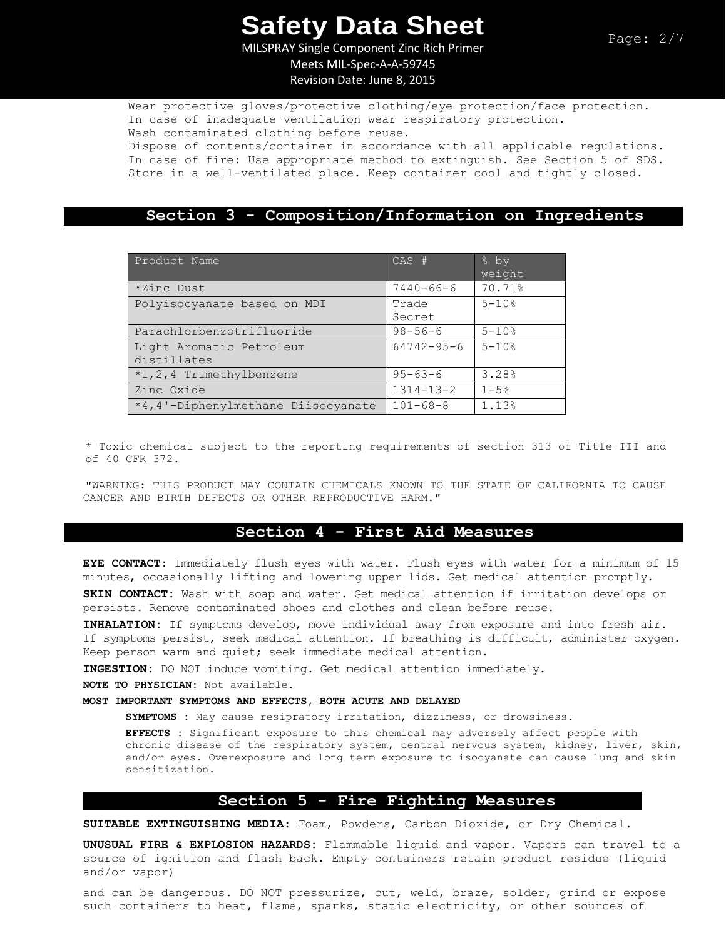MILSPRAY Single Component Zinc Rich Primer Meets MIL-Spec-A-A-59745

Revision Date: June 8, 2015

Wear protective gloves/protective clothing/eye protection/face protection. In case of inadequate ventilation wear respiratory protection. Wash contaminated clothing before reuse.

Dispose of contents/container in accordance with all applicable regulations. In case of fire: Use appropriate method to extinguish. See Section 5 of SDS. Store in a well-ventilated place. Keep container cool and tightly closed.

## **Section 3 - Composition/Information on Ingredients**

| Product Name                            | $CAS$ #          | % by<br>weight |
|-----------------------------------------|------------------|----------------|
| *Zinc Dust                              | $7440 - 66 - 6$  | 70.71%         |
| Polyisocyanate based on MDI             | Trade<br>Secret  | $5 - 10%$      |
| Parachlorbenzotrifluoride               | $98 - 56 - 6$    | $5 - 10%$      |
| Light Aromatic Petroleum<br>distillates | $64742 - 95 - 6$ | $5 - 10%$      |
| *1,2,4 Trimethylbenzene                 | $95 - 63 - 6$    | 3.28%          |
| Zinc Oxide                              | $1314 - 13 - 2$  | $1 - 5%$       |
| *4,4'-Diphenylmethane Diisocyanate      | $101 - 68 - 8$   | 1.13%          |

\* Toxic chemical subject to the reporting requirements of section 313 of Title III and of 40 CFR 372.

"WARNING: THIS PRODUCT MAY CONTAIN CHEMICALS KNOWN TO THE STATE OF CALIFORNIA TO CAUSE CANCER AND BIRTH DEFECTS OR OTHER REPRODUCTIVE HARM."

## **Section 4 - First Aid Measures**

**EYE CONTACT:** Immediately flush eyes with water. Flush eyes with water for a minimum of 15 minutes, occasionally lifting and lowering upper lids. Get medical attention promptly.

**SKIN CONTACT:** Wash with soap and water. Get medical attention if irritation develops or persists. Remove contaminated shoes and clothes and clean before reuse.

**INHALATION:** If symptoms develop, move individual away from exposure and into fresh air. If symptoms persist, seek medical attention. If breathing is difficult, administer oxygen. Keep person warm and quiet; seek immediate medical attention.

**INGESTION:** DO NOT induce vomiting. Get medical attention immediately.

**NOTE TO PHYSICIAN:** Not available.

### **MOST IMPORTANT SYMPTOMS AND EFFECTS, BOTH ACUTE AND DELAYED**

**SYMPTOMS :** May cause resipratory irritation, dizziness, or drowsiness.

**EFFECTS :** Significant exposure to this chemical may adversely affect people with chronic disease of the respiratory system, central nervous system, kidney, liver, skin, and/or eyes. Overexposure and long term exposure to isocyanate can cause lung and skin sensitization.

## **Section 5 - Fire Fighting Measures**

**SUITABLE EXTINGUISHING MEDIA:** Foam, Powders, Carbon Dioxide, or Dry Chemical.

**UNUSUAL FIRE & EXPLOSION HAZARDS:** Flammable liquid and vapor. Vapors can travel to a source of ignition and flash back. Empty containers retain product residue (liquid and/or vapor)

and can be dangerous. DO NOT pressurize, cut, weld, braze, solder, grind or expose such containers to heat, flame, sparks, static electricity, or other sources of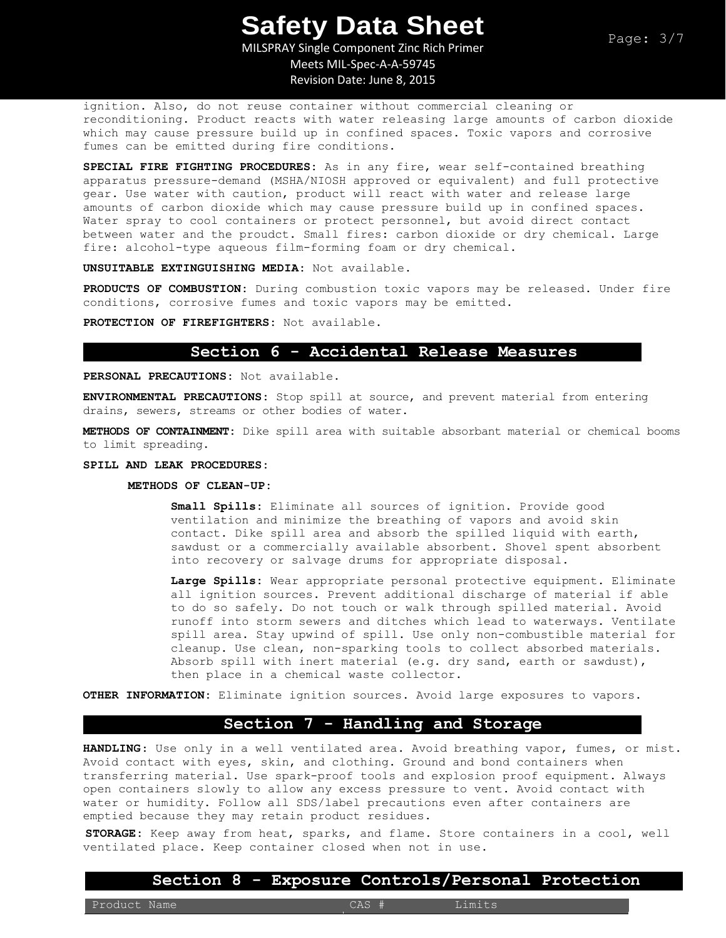MILSPRAY Single Component Zinc Rich Primer Meets MIL-Spec-A-A-59745 Revision Date: June 8, 2015

ignition. Also, do not reuse container without commercial cleaning or reconditioning. Product reacts with water releasing large amounts of carbon dioxide which may cause pressure build up in confined spaces. Toxic vapors and corrosive fumes can be emitted during fire conditions.

**SPECIAL FIRE FIGHTING PROCEDURES:** As in any fire, wear self-contained breathing apparatus pressure-demand (MSHA/NIOSH approved or equivalent) and full protective gear. Use water with caution, product will react with water and release large amounts of carbon dioxide which may cause pressure build up in confined spaces. Water spray to cool containers or protect personnel, but avoid direct contact between water and the proudct. Small fires: carbon dioxide or dry chemical. Large fire: alcohol-type aqueous film-forming foam or dry chemical.

**UNSUITABLE EXTINGUISHING MEDIA:** Not available.

**PRODUCTS OF COMBUSTION:** During combustion toxic vapors may be released. Under fire conditions, corrosive fumes and toxic vapors may be emitted.

**PROTECTION OF FIREFIGHTERS:** Not available.

### **Section 6 - Accidental Release Measures**

**PERSONAL PRECAUTIONS:** Not available.

**ENVIRONMENTAL PRECAUTIONS:** Stop spill at source, and prevent material from entering drains, sewers, streams or other bodies of water.

**METHODS OF CONTAINMENT:** Dike spill area with suitable absorbant material or chemical booms to limit spreading.

#### **SPILL AND LEAK PROCEDURES:**

#### **METHODS OF CLEAN-UP:**

**Small Spills:** Eliminate all sources of ignition. Provide good ventilation and minimize the breathing of vapors and avoid skin contact. Dike spill area and absorb the spilled liquid with earth, sawdust or a commercially available absorbent. Shovel spent absorbent into recovery or salvage drums for appropriate disposal.

**Large Spills:** Wear appropriate personal protective equipment. Eliminate all ignition sources. Prevent additional discharge of material if able to do so safely. Do not touch or walk through spilled material. Avoid runoff into storm sewers and ditches which lead to waterways. Ventilate spill area. Stay upwind of spill. Use only non-combustible material for cleanup. Use clean, non-sparking tools to collect absorbed materials. Absorb spill with inert material (e.g. dry sand, earth or sawdust), then place in a chemical waste collector.

**OTHER INFORMATION:** Eliminate ignition sources. Avoid large exposures to vapors.

# **Section 7 - Handling and Storage**

**HANDLING**: Use only in a well ventilated area. Avoid breathing vapor, fumes, or mist. Avoid contact with eyes, skin, and clothing. Ground and bond containers when transferring material. Use spark-proof tools and explosion proof equipment. Always open containers slowly to allow any excess pressure to vent. Avoid contact with water or humidity. Follow all SDS/label precautions even after containers are emptied because they may retain product residues.

**STORAGE:** Keep away from heat, sparks, and flame. Store containers in a cool, well ventilated place. Keep container closed when not in use.

### **Section 8 - Exposure Controls/Personal Protection**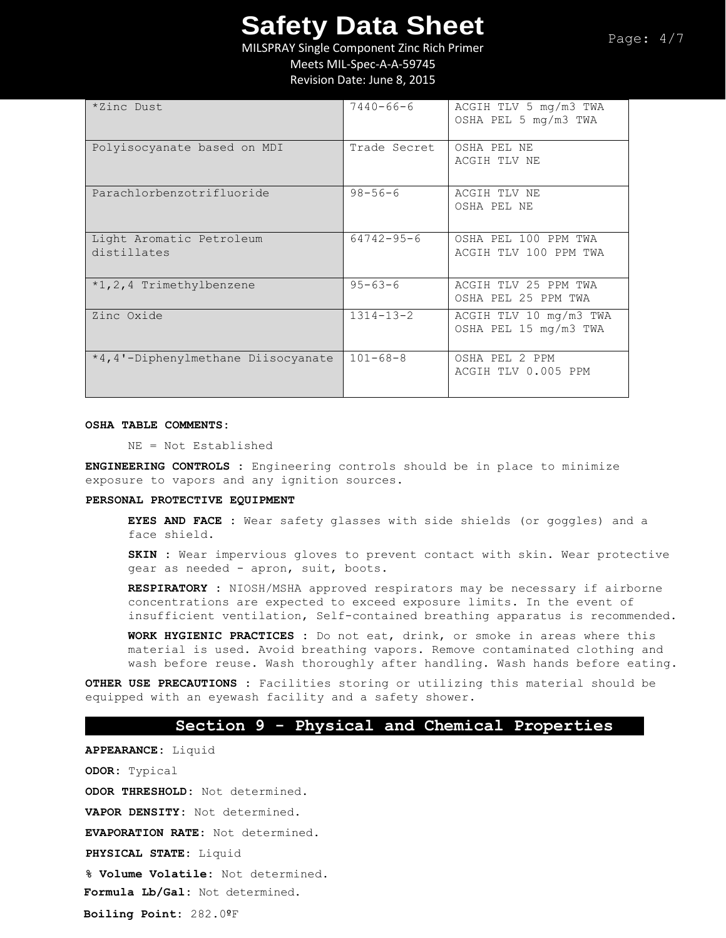Page: 4/7

MILSPRAY Single Component Zinc Rich Primer

Meets MIL-Spec-A-A-59745

Revision Date: June 8, 2015

| *Zinc Dust                              | $7440 - 66 - 6$  | ACGIH TLV 5 mg/m3 TWA<br>OSHA PEL 5 mg/m3 TWA   |
|-----------------------------------------|------------------|-------------------------------------------------|
| Polyisocyanate based on MDI             | Trade Secret     | OSHA PEL NE<br>ACGIH TLV NE                     |
| Parachlorbenzotrifluoride               | $98 - 56 - 6$    | ACGIH TLV NE<br>OSHA PEL NE                     |
| Light Aromatic Petroleum<br>distillates | $64742 - 95 - 6$ | OSHA PEL 100 PPM TWA<br>ACGIH TLV 100 PPM TWA   |
| *1,2,4 Trimethylbenzene                 | $95 - 63 - 6$    | ACGIH TLV 25 PPM TWA<br>OSHA PEL 25 PPM TWA     |
| Zinc Oxide                              | $1314 - 13 - 2$  | ACGIH TLV 10 mg/m3 TWA<br>OSHA PEL 15 mg/m3 TWA |
| *4,4'-Diphenylmethane Diisocyanate      | $101 - 68 - 8$   | OSHA PEL 2 PPM<br>ACGIH TLV 0.005 PPM           |

#### **OSHA TABLE COMMENTS:**

NE = Not Established

**ENGINEERING CONTROLS :** Engineering controls should be in place to minimize exposure to vapors and any ignition sources.

#### **PERSONAL PROTECTIVE EQUIPMENT**

**EYES AND FACE :** Wear safety glasses with side shields (or goggles) and a face shield.

**SKIN :** Wear impervious gloves to prevent contact with skin. Wear protective gear as needed - apron, suit, boots.

**RESPIRATORY :** NIOSH/MSHA approved respirators may be necessary if airborne concentrations are expected to exceed exposure limits. In the event of insufficient ventilation, Self-contained breathing apparatus is recommended.

**WORK HYGIENIC PRACTICES :** Do not eat, drink, or smoke in areas where this material is used. Avoid breathing vapors. Remove contaminated clothing and wash before reuse. Wash thoroughly after handling. Wash hands before eating.

**OTHER USE PRECAUTIONS :** Facilities storing or utilizing this material should be equipped with an eyewash facility and a safety shower.

## **Section 9 - Physical and Chemical Properties**

**APPEARANCE:** Liquid **ODOR:** Typical **ODOR THRESHOLD:** Not determined. **VAPOR DENSITY:** Not determined. **EVAPORATION RATE:** Not determined.

**PHYSICAL STATE:** Liquid

**% Volume Volatile:** Not determined.

**Formula Lb/Gal:** Not determined.

**Boiling Point:** 282.0ºF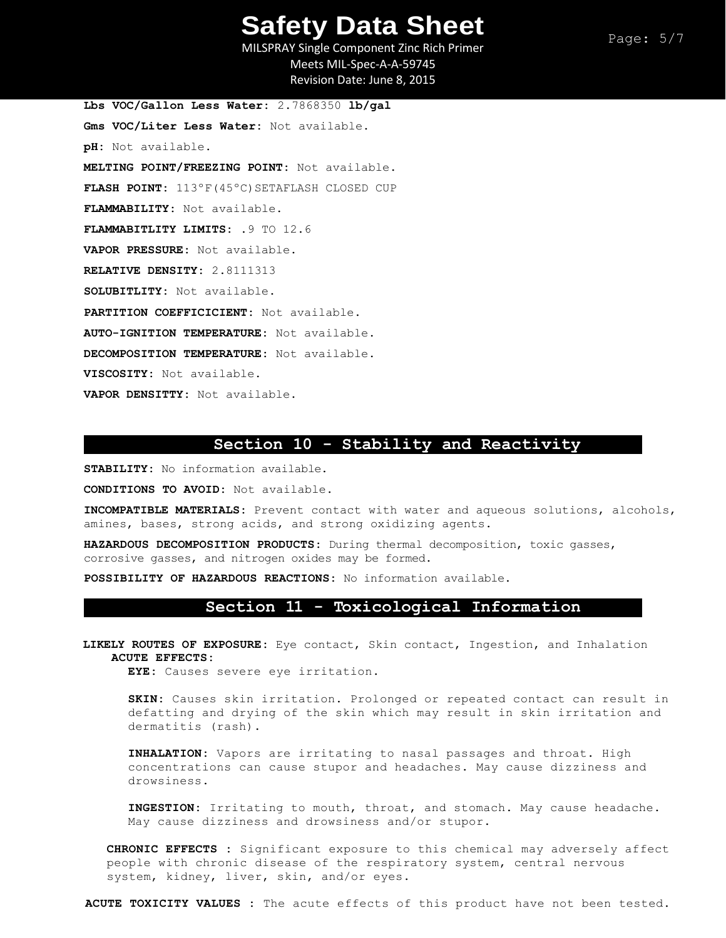MILSPRAY Single Component Zinc Rich Primer Meets MIL-Spec-A-A-59745 Revision Date: June 8, 2015

**Lbs VOC/Gallon Less Water:** 2.7868350 **lb/gal Gms VOC/Liter Less Water:** Not available. **pH:** Not available. **MELTING POINT/FREEZING POINT:** Not available. FLASH POINT: 113°F(45°C)SETAFLASH CLOSED CUP **FLAMMABILITY:** Not available. **FLAMMABITLITY LIMITS:** .9 TO 12.6 **VAPOR PRESSURE:** Not available. **RELATIVE DENSITY:** 2.8111313 **SOLUBITLITY:** Not available. **PARTITION COEFFICICIENT:** Not available. **AUTO-IGNITION TEMPERATURE:** Not available. **DECOMPOSITION TEMPERATURE:** Not available. **VISCOSITY:** Not available. **VAPOR DENSITTY:** Not available.

### **Section 10 - Stability and Reactivity**

**STABILITY:** No information available.

**CONDITIONS TO AVOID:** Not available.

**INCOMPATIBLE MATERIALS:** Prevent contact with water and aqueous solutions, alcohols, amines, bases, strong acids, and strong oxidizing agents.

**HAZARDOUS DECOMPOSITION PRODUCTS:** During thermal decomposition, toxic gasses, corrosive gasses, and nitrogen oxides may be formed.

**POSSIBILITY OF HAZARDOUS REACTIONS:** No information available.

### **Section 11 - Toxicological Information**

**LIKELY ROUTES OF EXPOSURE:** Eye contact, Skin contact, Ingestion, and Inhalation **ACUTE EFFECTS:** 

**EYE:** Causes severe eye irritation**.** 

**SKIN:** Causes skin irritation. Prolonged or repeated contact can result in defatting and drying of the skin which may result in skin irritation and dermatitis (rash).

**INHALATION:** Vapors are irritating to nasal passages and throat. High concentrations can cause stupor and headaches. May cause dizziness and drowsiness**.** 

**INGESTION:** Irritating to mouth, throat, and stomach. May cause headache. May cause dizziness and drowsiness and/or stupor.

**CHRONIC EFFECTS :** Significant exposure to this chemical may adversely affect people with chronic disease of the respiratory system, central nervous system, kidney, liver, skin, and/or eyes.

**ACUTE TOXICITY VALUES :** The acute effects of this product have not been tested.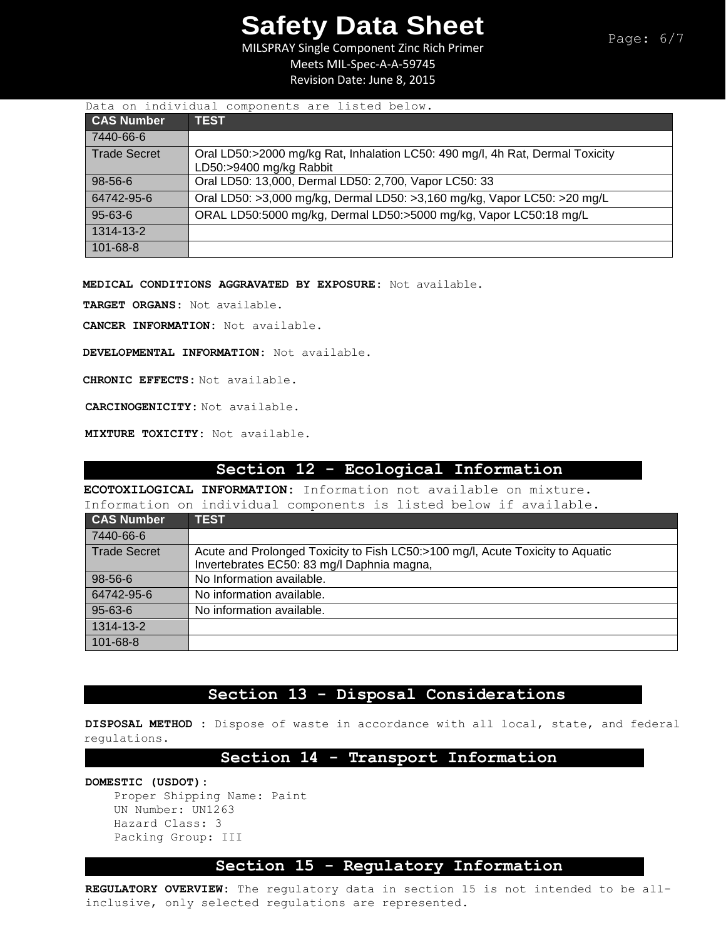MILSPRAY Single Component Zinc Rich Primer

Meets MIL-Spec-A-A-59745

Revision Date: June 8, 2015

| Data on individual components are listed below. |                                                                                                          |  |  |
|-------------------------------------------------|----------------------------------------------------------------------------------------------------------|--|--|
| <b>CAS Number</b>                               | <b>TEST</b>                                                                                              |  |  |
| 7440-66-6                                       |                                                                                                          |  |  |
| <b>Trade Secret</b>                             | Oral LD50:>2000 mg/kg Rat, Inhalation LC50: 490 mg/l, 4h Rat, Dermal Toxicity<br>LD50:>9400 mg/kg Rabbit |  |  |
| 98-56-6                                         | Oral LD50: 13,000, Dermal LD50: 2,700, Vapor LC50: 33                                                    |  |  |
| 64742-95-6                                      | Oral LD50: >3,000 mg/kg, Dermal LD50: >3,160 mg/kg, Vapor LC50: >20 mg/L                                 |  |  |
| $95 - 63 - 6$                                   | ORAL LD50:5000 mg/kg, Dermal LD50:>5000 mg/kg, Vapor LC50:18 mg/L                                        |  |  |
| 1314-13-2                                       |                                                                                                          |  |  |
| 101-68-8                                        |                                                                                                          |  |  |

**MEDICAL CONDITIONS AGGRAVATED BY EXPOSURE:** Not available.

**TARGET ORGANS:** Not available.

**CANCER INFORMATION:** Not available.

**DEVELOPMENTAL INFORMATION:** Not available.

**CHRONIC EFFECTS:** Not available.

**CARCINOGENICITY:** Not available.

**MIXTURE TOXICITY:** Not available.

## **Section 12 - Ecological Information**

**ECOTOXILOGICAL INFORMATION:** Information not available on mixture. Information on individual components is listed below if available.

| THILOIMACION ON INCIATOMAT COMPONENCE IS TISTED DETOM IT AVAITADIE.                                                          |
|------------------------------------------------------------------------------------------------------------------------------|
| <b>TEST</b>                                                                                                                  |
|                                                                                                                              |
| Acute and Prolonged Toxicity to Fish LC50:>100 mg/l, Acute Toxicity to Aquatic<br>Invertebrates EC50: 83 mg/l Daphnia magna, |
| No Information available.                                                                                                    |
| No information available.                                                                                                    |
| No information available.                                                                                                    |
|                                                                                                                              |
|                                                                                                                              |
|                                                                                                                              |

## **Section 13 - Disposal Considerations**

**DISPOSAL METHOD :** Dispose of waste in accordance with all local, state, and federal regulations.

## **Section 14 - Transport Information**

**DOMESTIC (USDOT):**

Proper Shipping Name: Paint UN Number: UN1263 Hazard Class: 3 Packing Group: III

# **Section 15 - Regulatory Information**

**REGULATORY OVERVIEW:** The regulatory data in section 15 is not intended to be allinclusive, only selected regulations are represented**.**